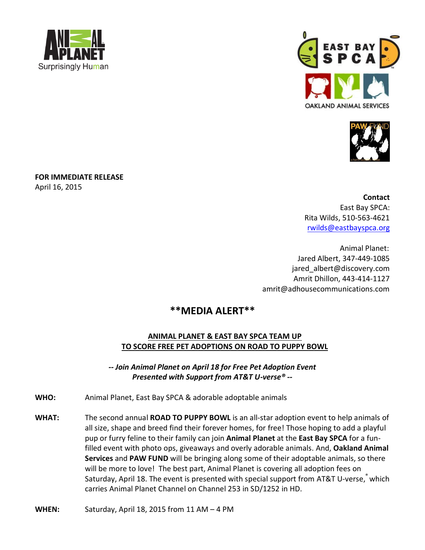





**FOR IMMEDIATE RELEASE** April 16, 2015

> **Contact** East Bay SPCA: Rita Wilds, 510-563-4621 [rwilds@eastbayspca.org](mailto:rwilds@eastbayspca.org)

Animal Planet: Jared Albert, 347-449-1085 jared\_albert@discovery.com Amrit Dhillon, 443-414-1127 amrit@adhousecommunications.com

# **\*\*MEDIA ALERT\*\***

# **ANIMAL PLANET & EAST BAY SPCA TEAM UP TO SCORE FREE PET ADOPTIONS ON ROAD TO PUPPY BOWL**

*-- Join Animal Planet on April 18 for Free Pet Adoption Event Presented with Support from AT&T U-verse® --*

- **WHO:** Animal Planet, East Bay SPCA & adorable adoptable animals
- **WHAT:** The second annual **ROAD TO PUPPY BOWL** is an all-star adoption event to help animals of all size, shape and breed find their forever homes, for free! Those hoping to add a playful pup or furry feline to their family can join **Animal Planet** at the **East Bay SPCA** for a funfilled event with photo ops, giveaways and overly adorable animals. And, **Oakland Animal Services** and **PAW FUND** will be bringing along some of their adoptable animals, so there will be more to love! The best part, Animal Planet is covering all adoption fees on Saturday, April 18. The event is presented with special support from AT&T U-verse, <sup>\*</sup> which carries Animal Planet Channel on Channel 253 in SD/1252 in HD.

**WHEN:** Saturday, April 18, 2015 from 11 AM – 4 PM